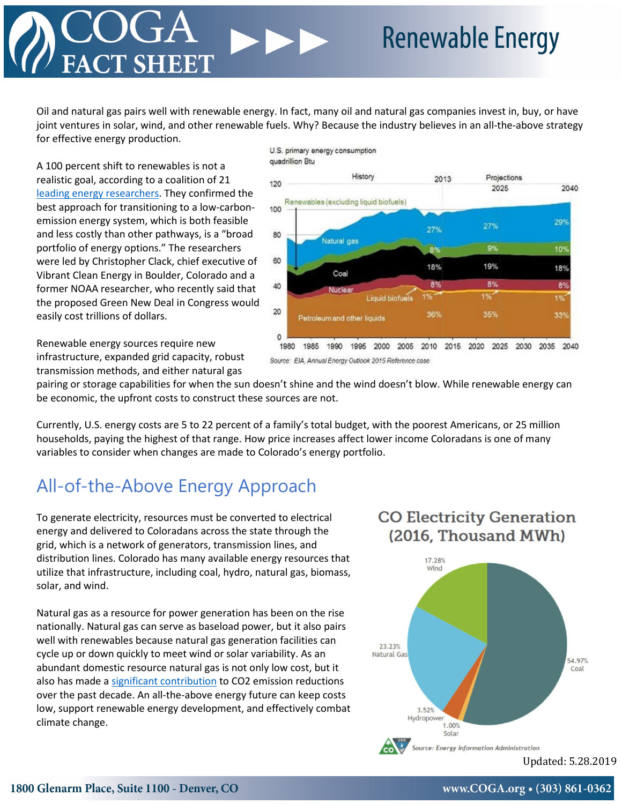Oil and natural gas pairs well with renewable energy. In fact, many oil and natural gas companies invest in, buy, or have joint ventures in solar, wind, and other renewable fuels. Why? Because the industry believes in an all-the-above strategy for effective energy production.

A 100 percent shift to renewables is not a realistic goal, according to a coalition of 21 [leading energy researchers.](https://www.pnas.org/content/114/26/6722) They confirmed the best approach for transitioning to a low-carbonemission energy system, which is both feasible and less costly than other pathways, is a "broad portfolio of energy options." The researchers were led by Christopher Clack, chief executive of Vibrant Clean Energy in Boulder, Colorado and a former NOAA researcher, who recently said that the proposed Green New Deal in Congress would easily cost trillions of dollars.

Renewable energy sources require new infrastructure, expanded grid capacity, robust transmission methods, and either natural gas



Source: EIA, Annual Energy Outlook 2015 Reference case

pairing or storage capabilities for when the sun doesn't shine and the wind doesn't blow. While renewable energy can be economic, the upfront costs to construct these sources are not.

Currently, U.S. energy costs are 5 to 22 percent of a family's total budget, with the poorest Americans, or 25 million households, paying the highest of that range. How price increases affect lower income Coloradans is one of many variables to consider when changes are made to Colorado's energy portfolio.

# All-of-the-Above Energy Approach

To generate electricity, resources must be converted to electrical energy and delivered to Coloradans across the state through the grid, which is a network of generators, transmission lines, and distribution lines. Colorado has many available energy resources that utilize that infrastructure, including coal, hydro, natural gas, biomass, solar, and wind.

Natural gas as a resource for power generation has been on the rise nationally. Natural gas can serve as baseload power, but it also pairs well with renewables because natural gas generation facilities can cycle up or down quickly to meet wind or solar variability. As an abundant domestic resource natural gas is not only low cost, but it also has made a [significant contribution](https://www.eia.gov/environment/emissions/carbon/) to CO2 emission reductions over the past decade. An all-the-above energy future can keep costs low, support renewable energy development, and effectively combat climate change.

### **CO Electricity Generation** (2016, Thousand MWh)



Updated: 5.28.2019